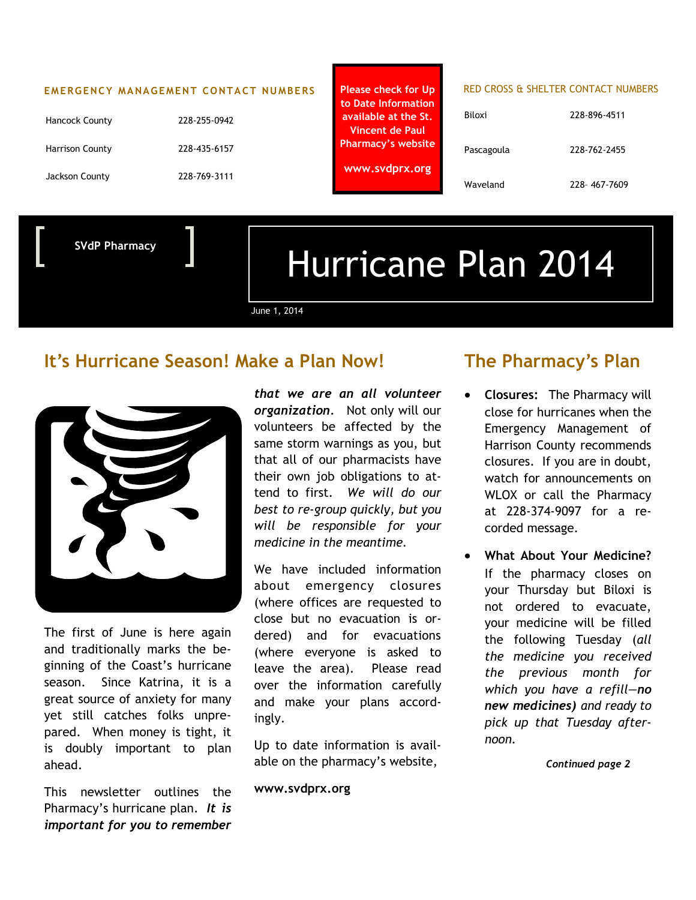#### **EMERGENCY MANAGEMENT CONTACT NUMBERS**

| <b>Hancock County</b>  | 228-255-0942 |
|------------------------|--------------|
| <b>Harrison County</b> | 228-435-6157 |
| Jackson County         | 228-769-3111 |

**to Date Information available at the St. Vincent de Paul Pharmacy's website www.svdprx.org**

#### **Please check for Up RED CROSS & SHELTER CONTACT NUMBERS**

| Biloxi     | 228-896-4511 |
|------------|--------------|
| Pascagoula | 228-762-2455 |
| Waveland   | 228-467-7609 |

**SVdP Pharmacy**

# Hurricane Plan 2014

June 1, 2014

## **It's Hurricane Season! Make a Plan Now!**



The first of June is here again and traditionally marks the beginning of the Coast's hurricane season. Since Katrina, it is a great source of anxiety for many yet still catches folks unprepared. When money is tight, it is doubly important to plan ahead.

This newsletter outlines the Pharmacy's hurricane plan. *It is important for you to remember* 

*that we are an all volunteer organization.* Not only will our volunteers be affected by the same storm warnings as you, but that all of our pharmacists have their own job obligations to attend to first. *We will do our best to re-group quickly, but you will be responsible for your medicine in the meantime.*

We have included information about emergency closures (where offices are requested to close but no evacuation is ordered) and for evacuations (where everyone is asked to leave the area). Please read over the information carefully and make your plans accordingly.

Up to date information is available on the pharmacy's website,

**www.svdprx.org**

## **The Pharmacy's Plan**

- **Closures:** The Pharmacy will close for hurricanes when the Emergency Management of Harrison County recommends closures. If you are in doubt, watch for announcements on WLOX or call the Pharmacy at 228-374-9097 for a recorded message.
- **What About Your Medicine?**  If the pharmacy closes on your Thursday but Biloxi is not ordered to evacuate, your medicine will be filled the following Tuesday (*all the medicine you received the previous month for which you have a refill—no new medicines) and ready to pick up that Tuesday afternoon.*

*Continued page 2*